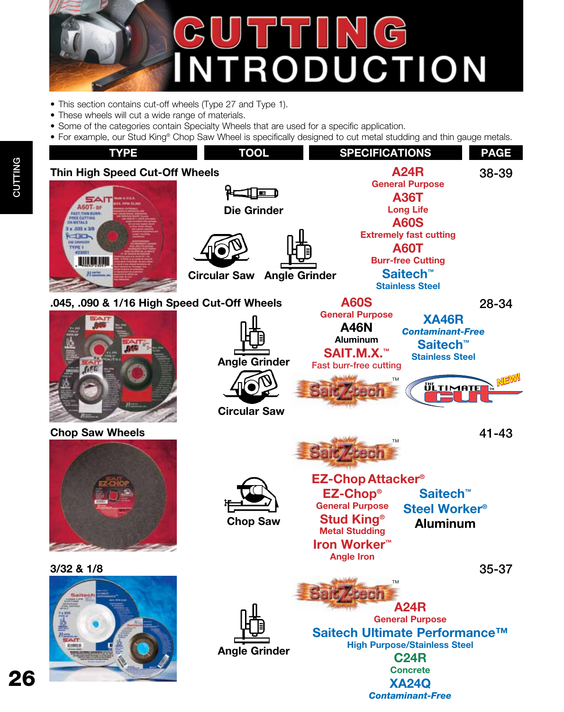

- This section contains cut-off wheels (Type 27 and Type 1).
- These wheels will cut a wide range of materials.
- Some of the categories contain Specialty Wheels that are used for a specific application.
- For example, our Stud King® Chop Saw Wheel is specifically designed to cut metal studding and thin gauge metals.



26